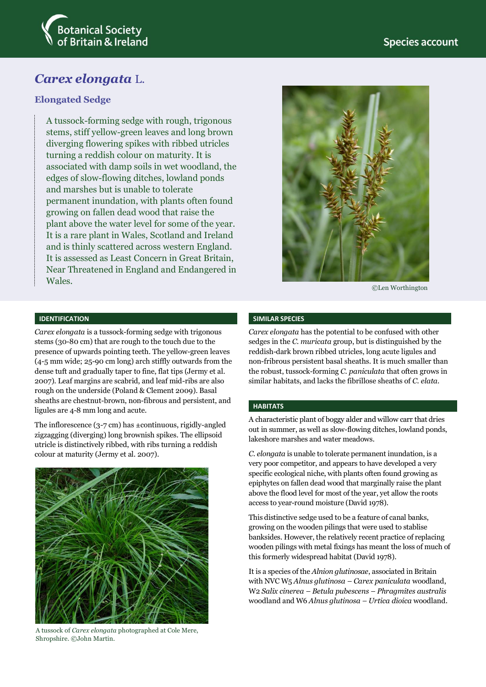

# *Carex elongata* L.

# **Elongated Sedge**

A tussock-forming sedge with rough, trigonous stems, stiff yellow-green leaves and long brown diverging flowering spikes with ribbed utricles turning a reddish colour on maturity. It is associated with damp soils in wet woodland, the edges of slow-flowing ditches, lowland ponds and marshes but is unable to tolerate permanent inundation, with plants often found growing on fallen dead wood that raise the plant above the water level for some of the year. It is a rare plant in Wales, Scotland and Ireland and is thinly scattered across western England. It is assessed as Least Concern in Great Britain, Near Threatened in England and Endangered in Wales.



©Len Worthington

#### **IDENTIFICATION**

*Carex elongata* is a tussock-forming sedge with trigonous stems (30-80 cm) that are rough to the touch due to the presence of upwards pointing teeth. The yellow-green leaves (4-5 mm wide; 25-90 cm long) arch stiffly outwards from the dense tuft and gradually taper to fine, flat tips (Jermy et al. 2007). Leaf margins are scabrid, and leaf mid-ribs are also rough on the underside (Poland & Clement 2009). Basal sheaths are chestnut-brown, non-fibrous and persistent, and ligules are 4-8 mm long and acute.

The inflorescence (3-7 cm) has ±continuous, rigidly-angled zigzagging (diverging) long brownish spikes. The ellipsoid utricle is distinctively ribbed, with ribs turning a reddish colour at maturity (Jermy et al. 2007).



A tussock of *Carex elongata* photographed at Cole Mere, Shropshire. ©John Martin.

#### **SIMILAR SPECIES**

*Carex elongata* has the potential to be confused with other sedges in the *C. muricata* group, but is distinguished by the reddish-dark brown ribbed utricles, long acute ligules and non-fribrous persistent basal sheaths. It is much smaller than the robust, tussock-forming *C. paniculata* that often grows in similar habitats, and lacks the fibrillose sheaths of *C. elata*.

#### **HABITATS**

A characteristic plant of boggy alder and willow carr that dries out in summer, as well as slow-flowing ditches, lowland ponds, lakeshore marshes and water meadows.

*C. elongata* is unable to tolerate permanent inundation, is a very poor competitor, and appears to have developed a very specific ecological niche, with plants often found growing as epiphytes on fallen dead wood that marginally raise the plant above the flood level for most of the year, yet allow the roots access to year-round moisture (David 1978).

This distinctive sedge used to be a feature of canal banks, growing on the wooden pilings that were used to stablise banksides. However, the relatively recent practice of replacing wooden pilings with metal fixings has meant the loss of much of this formerly widespread habitat (David 1978).

It is a species of the *Alnion glutinosae*, associated in Britain with NVC W5 *Alnus glutinosa – Carex paniculata* woodland, W2 *Salix cinerea – Betula pubescens – Phragmites australis*  woodland and W6 *Alnus glutinosa – Urtica dioica* woodland.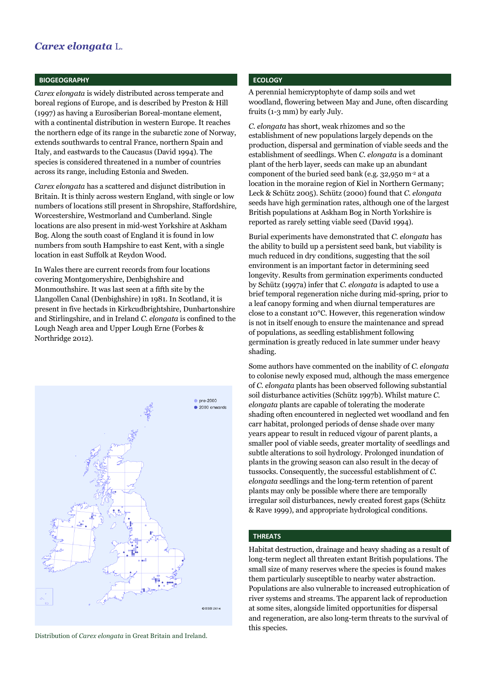# *Carex elongata* L.

#### **BIOGEOGRAPHY**

*Carex elongata* is widely distributed across temperate and boreal regions of Europe, and is described by Preston & Hill (1997) as having a Eurosiberian Boreal-montane element, with a continental distribution in western Europe. It reaches the northern edge of its range in the subarctic zone of Norway, extends southwards to central France, northern Spain and Italy, and eastwards to the Caucasus (David 1994). The species is considered threatened in a number of countries across its range, including Estonia and Sweden.

*Carex elongata* has a scattered and disjunct distribution in Britain. It is thinly across western England, with single or low numbers of locations still present in Shropshire, Staffordshire, Worcestershire, Westmorland and Cumberland. Single locations are also present in mid-west Yorkshire at Askham Bog. Along the south coast of England it is found in low numbers from south Hampshire to east Kent, with a single location in east Suffolk at Reydon Wood.

In Wales there are current records from four locations covering Montgomeryshire, Denbighshire and Monmouthshire. It was last seen at a fifth site by the Llangollen Canal (Denbighshire) in 1981. In Scotland, it is present in five hectads in Kirkcudbrightshire, Dunbartonshire and Stirlingshire, and in Ireland *C. elongata* is confined to the Lough Neagh area and Upper Lough Erne (Forbes & Northridge 2012).



Distribution of *Carex elongata* in Great Britain and Ireland.

## **ECOLOGY**

A perennial hemicryptophyte of damp soils and wet woodland, flowering between May and June, often discarding fruits (1-3 mm) by early July.

*C. elongata* has short, weak rhizomes and so the establishment of new populations largely depends on the production, dispersal and germination of viable seeds and the establishment of seedlings. When *C. elongata* is a dominant plant of the herb layer, seeds can make up an abundant component of the buried seed bank (e.g. 32,950 m-2 at a location in the moraine region of Kiel in Northern Germany; Leck & Schütz 2005). Schütz (2000) found that *C. elongata* seeds have high germination rates, although one of the largest British populations at Askham Bog in North Yorkshire is reported as rarely setting viable seed (David 1994).

Burial experiments have demonstrated that *C. elongata* has the ability to build up a persistent seed bank, but viability is much reduced in dry conditions, suggesting that the soil environment is an important factor in determining seed longevity. Results from germination experiments conducted by Schütz (1997a) infer that *C. elongata* is adapted to use a brief temporal regeneration niche during mid-spring, prior to a leaf canopy forming and when diurnal temperatures are close to a constant 10°C. However, this regeneration window is not in itself enough to ensure the maintenance and spread of populations, as seedling establishment following germination is greatly reduced in late summer under heavy shading.

Some authors have commented on the inability of *C. elongata*  to colonise newly exposed mud, although the mass emergence of *C. elongata* plants has been observed following substantial soil disturbance activities (Schütz 1997b). Whilst mature *C. elongata* plants are capable of tolerating the moderate shading often encountered in neglected wet woodland and fen carr habitat, prolonged periods of dense shade over many years appear to result in reduced vigour of parent plants, a smaller pool of viable seeds, greater mortality of seedlings and subtle alterations to soil hydrology. Prolonged inundation of plants in the growing season can also result in the decay of tussocks. Consequently, the successful establishment of *C. elongata* seedlings and the long-term retention of parent plants may only be possible where there are temporally irregular soil disturbances, newly created forest gaps (Schütz & Rave 1999), and appropriate hydrological conditions.

## **THREATS**

Habitat destruction, drainage and heavy shading as a result of long-term neglect all threaten extant British populations. The small size of many reserves where the species is found makes them particularly susceptible to nearby water abstraction. Populations are also vulnerable to increased eutrophication of river systems and streams. The apparent lack of reproduction at some sites, alongside limited opportunities for dispersal and regeneration, are also long-term threats to the survival of this species.